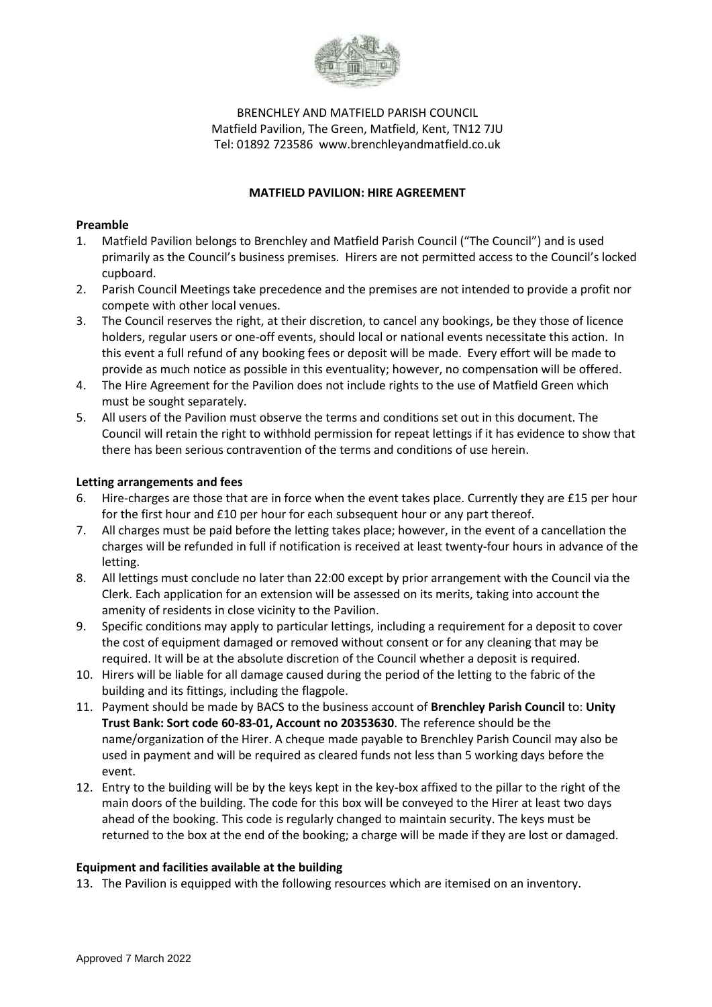

# BRENCHLEY AND MATFIELD PARISH COUNCIL Matfield Pavilion, The Green, Matfield, Kent, TN12 7JU Tel: 01892 723586 www.brenchleyandmatfield.co.uk

#### **MATFIELD PAVILION: HIRE AGREEMENT**

### **Preamble**

- 1. Matfield Pavilion belongs to Brenchley and Matfield Parish Council ("The Council") and is used primarily as the Council's business premises. Hirers are not permitted access to the Council's locked cupboard.
- 2. Parish Council Meetings take precedence and the premises are not intended to provide a profit nor compete with other local venues.
- 3. The Council reserves the right, at their discretion, to cancel any bookings, be they those of licence holders, regular users or one-off events, should local or national events necessitate this action. In this event a full refund of any booking fees or deposit will be made. Every effort will be made to provide as much notice as possible in this eventuality; however, no compensation will be offered.
- 4. The Hire Agreement for the Pavilion does not include rights to the use of Matfield Green which must be sought separately.
- 5. All users of the Pavilion must observe the terms and conditions set out in this document. The Council will retain the right to withhold permission for repeat lettings if it has evidence to show that there has been serious contravention of the terms and conditions of use herein.

#### **Letting arrangements and fees**

- 6. Hire-charges are those that are in force when the event takes place. Currently they are £15 per hour for the first hour and £10 per hour for each subsequent hour or any part thereof.
- 7. All charges must be paid before the letting takes place; however, in the event of a cancellation the charges will be refunded in full if notification is received at least twenty-four hours in advance of the letting.
- 8. All lettings must conclude no later than 22:00 except by prior arrangement with the Council via the Clerk. Each application for an extension will be assessed on its merits, taking into account the amenity of residents in close vicinity to the Pavilion.
- 9. Specific conditions may apply to particular lettings, including a requirement for a deposit to cover the cost of equipment damaged or removed without consent or for any cleaning that may be required. It will be at the absolute discretion of the Council whether a deposit is required.
- 10. Hirers will be liable for all damage caused during the period of the letting to the fabric of the building and its fittings, including the flagpole.
- 11. Payment should be made by BACS to the business account of **Brenchley Parish Council** to: **Unity Trust Bank: Sort code 60-83-01, Account no 20353630**. The reference should be the name/organization of the Hirer. A cheque made payable to Brenchley Parish Council may also be used in payment and will be required as cleared funds not less than 5 working days before the event.
- 12. Entry to the building will be by the keys kept in the key-box affixed to the pillar to the right of the main doors of the building. The code for this box will be conveyed to the Hirer at least two days ahead of the booking. This code is regularly changed to maintain security. The keys must be returned to the box at the end of the booking; a charge will be made if they are lost or damaged.

#### **Equipment and facilities available at the building**

13. The Pavilion is equipped with the following resources which are itemised on an inventory.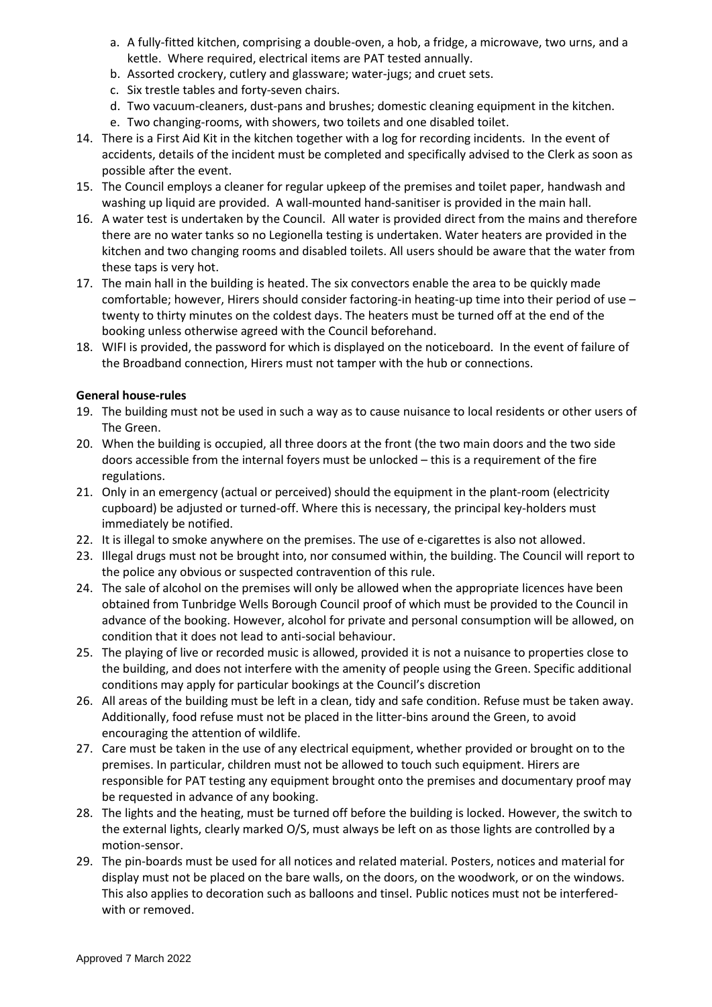- a. A fully-fitted kitchen, comprising a double-oven, a hob, a fridge, a microwave, two urns, and a kettle. Where required, electrical items are PAT tested annually.
- b. Assorted crockery, cutlery and glassware; water-jugs; and cruet sets.
- c. Six trestle tables and forty-seven chairs.
- d. Two vacuum-cleaners, dust-pans and brushes; domestic cleaning equipment in the kitchen.
- e. Two changing-rooms, with showers, two toilets and one disabled toilet.
- 14. There is a First Aid Kit in the kitchen together with a log for recording incidents. In the event of accidents, details of the incident must be completed and specifically advised to the Clerk as soon as possible after the event.
- 15. The Council employs a cleaner for regular upkeep of the premises and toilet paper, handwash and washing up liquid are provided. A wall-mounted hand-sanitiser is provided in the main hall.
- 16. A water test is undertaken by the Council. All water is provided direct from the mains and therefore there are no water tanks so no Legionella testing is undertaken. Water heaters are provided in the kitchen and two changing rooms and disabled toilets. All users should be aware that the water from these taps is very hot.
- 17. The main hall in the building is heated. The six convectors enable the area to be quickly made comfortable; however, Hirers should consider factoring-in heating-up time into their period of use – twenty to thirty minutes on the coldest days. The heaters must be turned off at the end of the booking unless otherwise agreed with the Council beforehand.
- 18. WIFI is provided, the password for which is displayed on the noticeboard. In the event of failure of the Broadband connection, Hirers must not tamper with the hub or connections.

# **General house-rules**

- 19. The building must not be used in such a way as to cause nuisance to local residents or other users of The Green.
- 20. When the building is occupied, all three doors at the front (the two main doors and the two side doors accessible from the internal foyers must be unlocked – this is a requirement of the fire regulations.
- 21. Only in an emergency (actual or perceived) should the equipment in the plant-room (electricity cupboard) be adjusted or turned-off. Where this is necessary, the principal key-holders must immediately be notified.
- 22. It is illegal to smoke anywhere on the premises. The use of e-cigarettes is also not allowed.
- 23. Illegal drugs must not be brought into, nor consumed within, the building. The Council will report to the police any obvious or suspected contravention of this rule.
- 24. The sale of alcohol on the premises will only be allowed when the appropriate licences have been obtained from Tunbridge Wells Borough Council proof of which must be provided to the Council in advance of the booking. However, alcohol for private and personal consumption will be allowed, on condition that it does not lead to anti-social behaviour.
- 25. The playing of live or recorded music is allowed, provided it is not a nuisance to properties close to the building, and does not interfere with the amenity of people using the Green. Specific additional conditions may apply for particular bookings at the Council's discretion
- 26. All areas of the building must be left in a clean, tidy and safe condition. Refuse must be taken away. Additionally, food refuse must not be placed in the litter-bins around the Green, to avoid encouraging the attention of wildlife.
- 27. Care must be taken in the use of any electrical equipment, whether provided or brought on to the premises. In particular, children must not be allowed to touch such equipment. Hirers are responsible for PAT testing any equipment brought onto the premises and documentary proof may be requested in advance of any booking.
- 28. The lights and the heating, must be turned off before the building is locked. However, the switch to the external lights, clearly marked O/S, must always be left on as those lights are controlled by a motion-sensor.
- 29. The pin-boards must be used for all notices and related material. Posters, notices and material for display must not be placed on the bare walls, on the doors, on the woodwork, or on the windows. This also applies to decoration such as balloons and tinsel. Public notices must not be interferedwith or removed.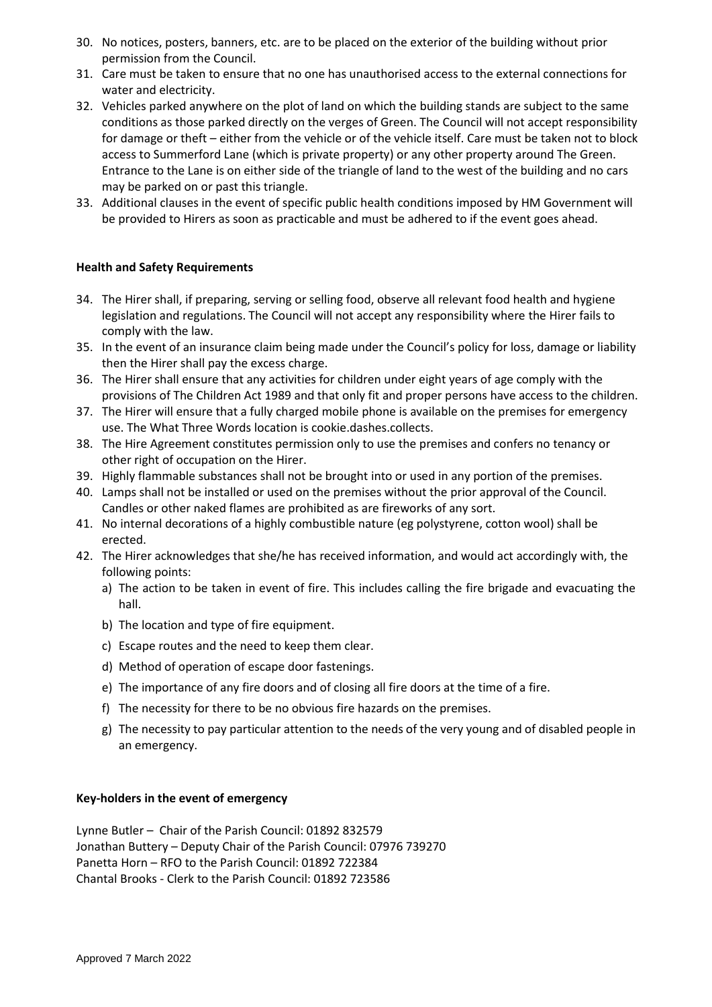- 30. No notices, posters, banners, etc. are to be placed on the exterior of the building without prior permission from the Council.
- 31. Care must be taken to ensure that no one has unauthorised access to the external connections for water and electricity.
- 32. Vehicles parked anywhere on the plot of land on which the building stands are subject to the same conditions as those parked directly on the verges of Green. The Council will not accept responsibility for damage or theft – either from the vehicle or of the vehicle itself. Care must be taken not to block access to Summerford Lane (which is private property) or any other property around The Green. Entrance to the Lane is on either side of the triangle of land to the west of the building and no cars may be parked on or past this triangle.
- 33. Additional clauses in the event of specific public health conditions imposed by HM Government will be provided to Hirers as soon as practicable and must be adhered to if the event goes ahead.

# **Health and Safety Requirements**

- 34. The Hirer shall, if preparing, serving or selling food, observe all relevant food health and hygiene legislation and regulations. The Council will not accept any responsibility where the Hirer fails to comply with the law.
- 35. In the event of an insurance claim being made under the Council's policy for loss, damage or liability then the Hirer shall pay the excess charge.
- 36. The Hirer shall ensure that any activities for children under eight years of age comply with the provisions of The Children Act 1989 and that only fit and proper persons have access to the children.
- 37. The Hirer will ensure that a fully charged mobile phone is available on the premises for emergency use. The What Three Words location is cookie.dashes.collects.
- 38. The Hire Agreement constitutes permission only to use the premises and confers no tenancy or other right of occupation on the Hirer.
- 39. Highly flammable substances shall not be brought into or used in any portion of the premises.
- 40. Lamps shall not be installed or used on the premises without the prior approval of the Council. Candles or other naked flames are prohibited as are fireworks of any sort.
- 41. No internal decorations of a highly combustible nature (eg polystyrene, cotton wool) shall be erected.
- 42. The Hirer acknowledges that she/he has received information, and would act accordingly with, the following points:
	- a) The action to be taken in event of fire. This includes calling the fire brigade and evacuating the hall.
	- b) The location and type of fire equipment.
	- c) Escape routes and the need to keep them clear.
	- d) Method of operation of escape door fastenings.
	- e) The importance of any fire doors and of closing all fire doors at the time of a fire.
	- f) The necessity for there to be no obvious fire hazards on the premises.
	- g) The necessity to pay particular attention to the needs of the very young and of disabled people in an emergency.

# **Key-holders in the event of emergency**

Lynne Butler – Chair of the Parish Council: 01892 832579 Jonathan Buttery – Deputy Chair of the Parish Council: 07976 739270 Panetta Horn – RFO to the Parish Council: 01892 722384 Chantal Brooks - Clerk to the Parish Council: 01892 723586